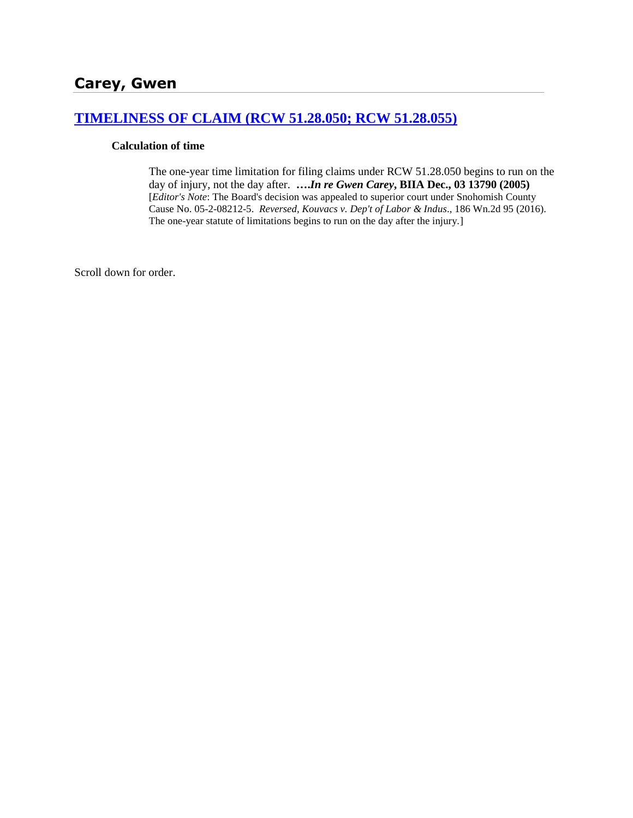# **[TIMELINESS OF CLAIM \(RCW 51.28.050; RCW 51.28.055\)](http://www.biia.wa.gov/SDSubjectIndex.html#TIMELINESS_OF_CLAIM)**

#### **Calculation of time**

The one-year time limitation for filing claims under RCW 51.28.050 begins to run on the day of injury, not the day after. **….***In re Gwen Carey***, BIIA Dec., 03 13790 (2005)** [*Editor's Note*: The Board's decision was appealed to superior court under Snohomish County Cause No. 05-2-08212-5. *Reversed, Kouvacs v. Dep't of Labor & Indus*., 186 Wn.2d 95 (2016). The one-year statute of limitations begins to run on the day after the injury.]

Scroll down for order.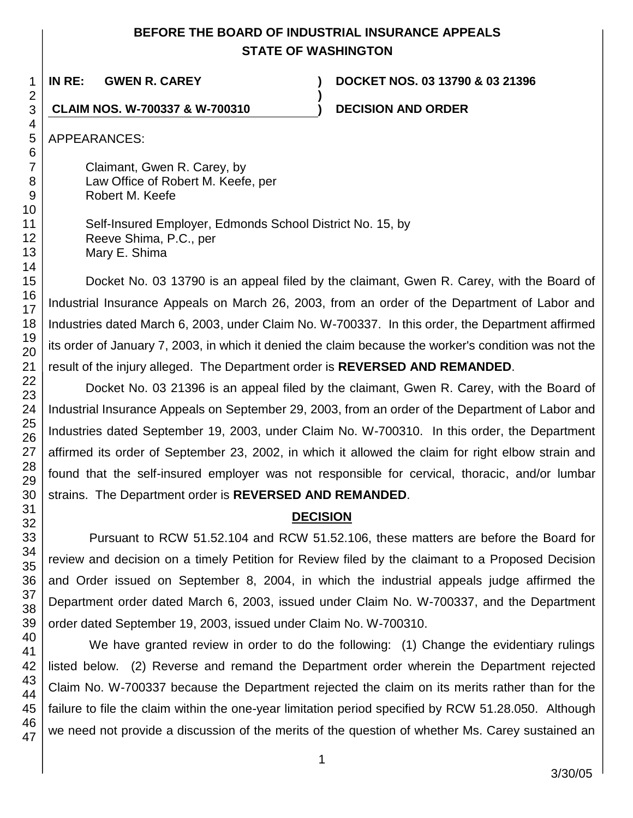# **BEFORE THE BOARD OF INDUSTRIAL INSURANCE APPEALS STATE OF WASHINGTON**

**)**

**IN RE: GWEN R. CAREY ) DOCKET NOS. 03 13790 & 03 21396**

**CLAIM NOS. W-700337 & W-700310 ) DECISION AND ORDER**

APPEARANCES:

Claimant, Gwen R. Carey, by Law Office of Robert M. Keefe, per Robert M. Keefe

Self-Insured Employer, Edmonds School District No. 15, by Reeve Shima, P.C., per Mary E. Shima

Docket No. 03 13790 is an appeal filed by the claimant, Gwen R. Carey, with the Board of Industrial Insurance Appeals on March 26, 2003, from an order of the Department of Labor and Industries dated March 6, 2003, under Claim No. W-700337. In this order, the Department affirmed its order of January 7, 2003, in which it denied the claim because the worker's condition was not the result of the injury alleged. The Department order is **REVERSED AND REMANDED**.

Docket No. 03 21396 is an appeal filed by the claimant, Gwen R. Carey, with the Board of Industrial Insurance Appeals on September 29, 2003, from an order of the Department of Labor and Industries dated September 19, 2003, under Claim No. W-700310. In this order, the Department affirmed its order of September 23, 2002, in which it allowed the claim for right elbow strain and found that the self-insured employer was not responsible for cervical, thoracic, and/or lumbar strains. The Department order is **REVERSED AND REMANDED**.

# **DECISION**

Pursuant to RCW 51.52.104 and RCW 51.52.106, these matters are before the Board for review and decision on a timely Petition for Review filed by the claimant to a Proposed Decision and Order issued on September 8, 2004, in which the industrial appeals judge affirmed the Department order dated March 6, 2003, issued under Claim No. W-700337, and the Department order dated September 19, 2003, issued under Claim No. W-700310.

47 We have granted review in order to do the following: (1) Change the evidentiary rulings listed below. (2) Reverse and remand the Department order wherein the Department rejected Claim No. W-700337 because the Department rejected the claim on its merits rather than for the failure to file the claim within the one-year limitation period specified by RCW 51.28.050. Although we need not provide a discussion of the merits of the question of whether Ms. Carey sustained an

3/30/05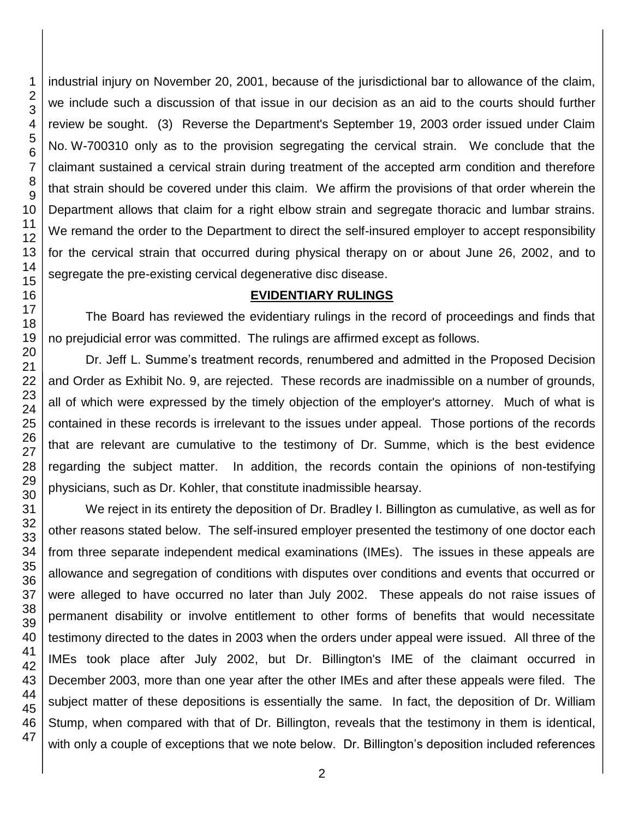industrial injury on November 20, 2001, because of the jurisdictional bar to allowance of the claim, we include such a discussion of that issue in our decision as an aid to the courts should further review be sought. (3) Reverse the Department's September 19, 2003 order issued under Claim No. W-700310 only as to the provision segregating the cervical strain. We conclude that the claimant sustained a cervical strain during treatment of the accepted arm condition and therefore that strain should be covered under this claim. We affirm the provisions of that order wherein the Department allows that claim for a right elbow strain and segregate thoracic and lumbar strains. We remand the order to the Department to direct the self-insured employer to accept responsibility for the cervical strain that occurred during physical therapy on or about June 26, 2002, and to segregate the pre-existing cervical degenerative disc disease.

# **EVIDENTIARY RULINGS**

The Board has reviewed the evidentiary rulings in the record of proceedings and finds that no prejudicial error was committed. The rulings are affirmed except as follows.

Dr. Jeff L. Summe's treatment records, renumbered and admitted in the Proposed Decision and Order as Exhibit No. 9, are rejected. These records are inadmissible on a number of grounds, all of which were expressed by the timely objection of the employer's attorney. Much of what is contained in these records is irrelevant to the issues under appeal. Those portions of the records that are relevant are cumulative to the testimony of Dr. Summe, which is the best evidence regarding the subject matter. In addition, the records contain the opinions of non-testifying physicians, such as Dr. Kohler, that constitute inadmissible hearsay.

We reject in its entirety the deposition of Dr. Bradley I. Billington as cumulative, as well as for other reasons stated below. The self-insured employer presented the testimony of one doctor each from three separate independent medical examinations (IMEs). The issues in these appeals are allowance and segregation of conditions with disputes over conditions and events that occurred or were alleged to have occurred no later than July 2002. These appeals do not raise issues of permanent disability or involve entitlement to other forms of benefits that would necessitate testimony directed to the dates in 2003 when the orders under appeal were issued. All three of the IMEs took place after July 2002, but Dr. Billington's IME of the claimant occurred in December 2003, more than one year after the other IMEs and after these appeals were filed. The subject matter of these depositions is essentially the same. In fact, the deposition of Dr. William Stump, when compared with that of Dr. Billington, reveals that the testimony in them is identical, with only a couple of exceptions that we note below. Dr. Billington's deposition included references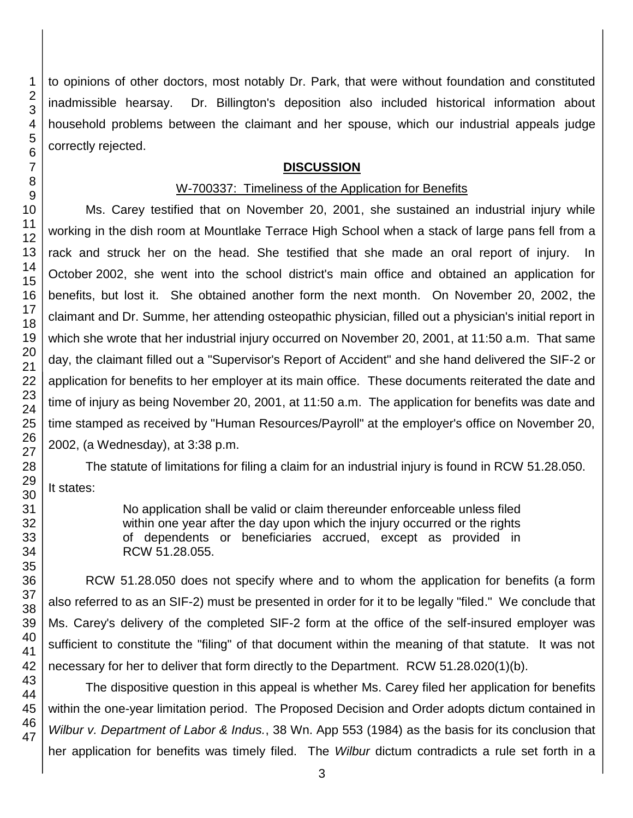to opinions of other doctors, most notably Dr. Park, that were without foundation and constituted inadmissible hearsay. Dr. Billington's deposition also included historical information about household problems between the claimant and her spouse, which our industrial appeals judge correctly rejected.

## **DISCUSSION**

# W-700337: Timeliness of the Application for Benefits

Ms. Carey testified that on November 20, 2001, she sustained an industrial injury while working in the dish room at Mountlake Terrace High School when a stack of large pans fell from a rack and struck her on the head. She testified that she made an oral report of injury. In October 2002, she went into the school district's main office and obtained an application for benefits, but lost it. She obtained another form the next month. On November 20, 2002, the claimant and Dr. Summe, her attending osteopathic physician, filled out a physician's initial report in which she wrote that her industrial injury occurred on November 20, 2001, at 11:50 a.m. That same day, the claimant filled out a "Supervisor's Report of Accident" and she hand delivered the SIF-2 or application for benefits to her employer at its main office. These documents reiterated the date and time of injury as being November 20, 2001, at 11:50 a.m. The application for benefits was date and time stamped as received by "Human Resources/Payroll" at the employer's office on November 20, 2002, (a Wednesday), at 3:38 p.m.

The statute of limitations for filing a claim for an industrial injury is found in RCW 51.28.050. It states:

> No application shall be valid or claim thereunder enforceable unless filed within one year after the day upon which the injury occurred or the rights of dependents or beneficiaries accrued, except as provided in RCW 51.28.055.

RCW 51.28.050 does not specify where and to whom the application for benefits (a form also referred to as an SIF-2) must be presented in order for it to be legally "filed." We conclude that Ms. Carey's delivery of the completed SIF-2 form at the office of the self-insured employer was sufficient to constitute the "filing" of that document within the meaning of that statute. It was not necessary for her to deliver that form directly to the Department. RCW 51.28.020(1)(b).

The dispositive question in this appeal is whether Ms. Carey filed her application for benefits within the one-year limitation period. The Proposed Decision and Order adopts dictum contained in *Wilbur v. Department of Labor & Indus.*, 38 Wn. App 553 (1984) as the basis for its conclusion that her application for benefits was timely filed. The *Wilbur* dictum contradicts a rule set forth in a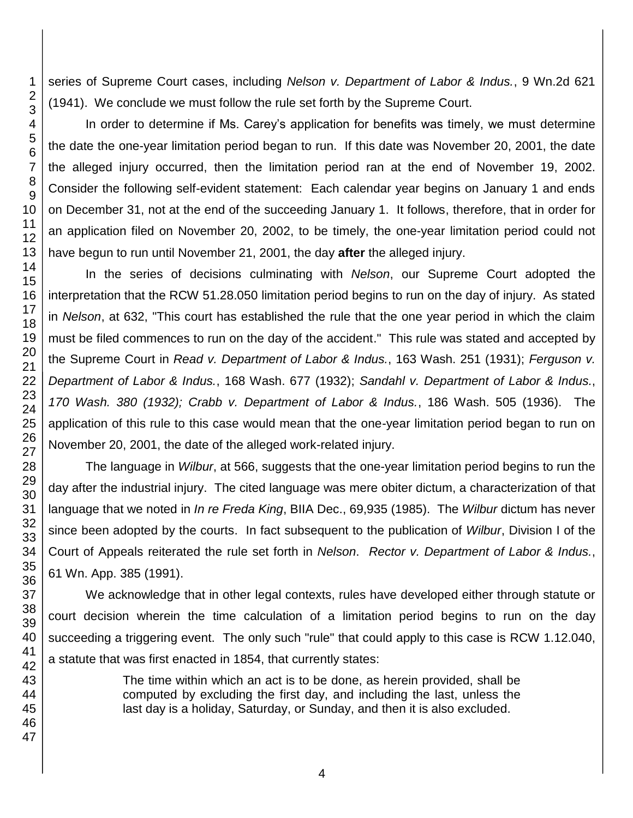series of Supreme Court cases, including *Nelson v. Department of Labor & Indus.*, 9 Wn.2d 621 (1941). We conclude we must follow the rule set forth by the Supreme Court.

In order to determine if Ms. Carey's application for benefits was timely, we must determine the date the one-year limitation period began to run. If this date was November 20, 2001, the date the alleged injury occurred, then the limitation period ran at the end of November 19, 2002. Consider the following self-evident statement: Each calendar year begins on January 1 and ends on December 31, not at the end of the succeeding January 1. It follows, therefore, that in order for an application filed on November 20, 2002, to be timely, the one-year limitation period could not have begun to run until November 21, 2001, the day **after** the alleged injury.

In the series of decisions culminating with *Nelson*, our Supreme Court adopted the interpretation that the RCW 51.28.050 limitation period begins to run on the day of injury. As stated in *Nelson*, at 632, "This court has established the rule that the one year period in which the claim must be filed commences to run on the day of the accident." This rule was stated and accepted by the Supreme Court in *Read v. Department of Labor & Indus.*, 163 Wash. 251 (1931); *Ferguson v. Department of Labor & Indus.*, 168 Wash. 677 (1932); *Sandahl v. Department of Labor & Indus.*, *170 Wash. 380 (1932); Crabb v. Department of Labor & Indus.*, 186 Wash. 505 (1936). The application of this rule to this case would mean that the one-year limitation period began to run on November 20, 2001, the date of the alleged work-related injury.

The language in *Wilbur*, at 566, suggests that the one-year limitation period begins to run the day after the industrial injury. The cited language was mere obiter dictum, a characterization of that language that we noted in *In re Freda King*, BIIA Dec., 69,935 (1985). The *Wilbur* dictum has never since been adopted by the courts. In fact subsequent to the publication of *Wilbur*, Division I of the Court of Appeals reiterated the rule set forth in *Nelson*. *Rector v. Department of Labor & Indus.*, Wn. App. 385 (1991).

We acknowledge that in other legal contexts, rules have developed either through statute or court decision wherein the time calculation of a limitation period begins to run on the day succeeding a triggering event. The only such "rule" that could apply to this case is RCW 1.12.040, a statute that was first enacted in 1854, that currently states:

> The time within which an act is to be done, as herein provided, shall be computed by excluding the first day, and including the last, unless the last day is a holiday, Saturday, or Sunday, and then it is also excluded.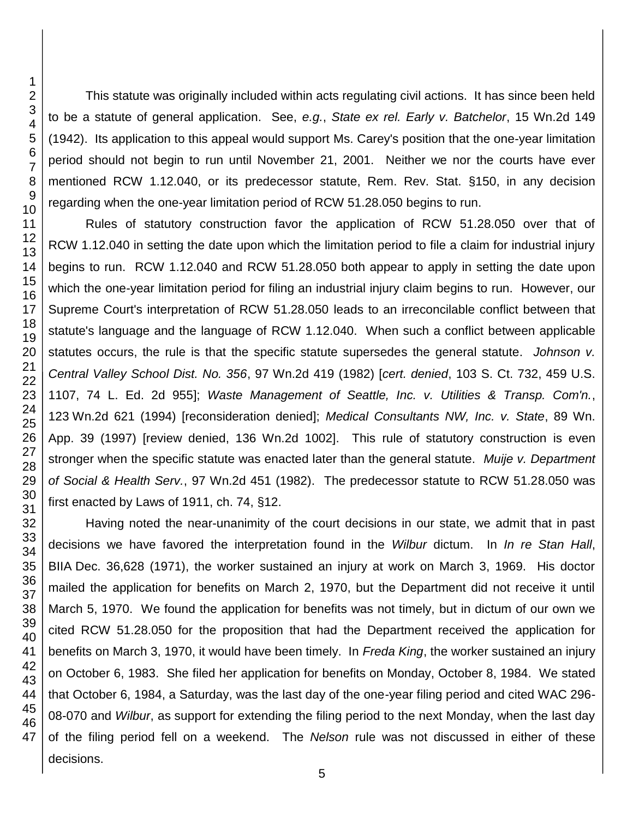This statute was originally included within acts regulating civil actions. It has since been held to be a statute of general application. See, *e.g.*, *State ex rel. Early v. Batchelor*, 15 Wn.2d 149 (1942). Its application to this appeal would support Ms. Carey's position that the one-year limitation period should not begin to run until November 21, 2001. Neither we nor the courts have ever mentioned RCW 1.12.040, or its predecessor statute, Rem. Rev. Stat. §150, in any decision regarding when the one-year limitation period of RCW 51.28.050 begins to run.

Rules of statutory construction favor the application of RCW 51.28.050 over that of RCW 1.12.040 in setting the date upon which the limitation period to file a claim for industrial injury begins to run. RCW 1.12.040 and RCW 51.28.050 both appear to apply in setting the date upon which the one-year limitation period for filing an industrial injury claim begins to run. However, our Supreme Court's interpretation of RCW 51.28.050 leads to an irreconcilable conflict between that statute's language and the language of RCW 1.12.040. When such a conflict between applicable statutes occurs, the rule is that the specific statute supersedes the general statute. *Johnson v. Central Valley School Dist. No. 356*, 97 Wn.2d 419 (1982) [*cert. denied*, 103 S. Ct. 732, 459 U.S. 1107, 74 L. Ed. 2d 955]; *Waste Management of Seattle, Inc. v. Utilities & Transp. Com'n.*, Wn.2d 621 (1994) [reconsideration denied]; *Medical Consultants NW, Inc. v. State*, 89 Wn. App. 39 (1997) [review denied, 136 Wn.2d 1002]. This rule of statutory construction is even stronger when the specific statute was enacted later than the general statute. *Muije v. Department of Social & Health Serv.*, 97 Wn.2d 451 (1982). The predecessor statute to RCW 51.28.050 was first enacted by Laws of 1911, ch. 74, §12.

Having noted the near-unanimity of the court decisions in our state, we admit that in past decisions we have favored the interpretation found in the *Wilbur* dictum. In *In re Stan Hall*, BIIA Dec. 36,628 (1971), the worker sustained an injury at work on March 3, 1969. His doctor mailed the application for benefits on March 2, 1970, but the Department did not receive it until March 5, 1970. We found the application for benefits was not timely, but in dictum of our own we cited RCW 51.28.050 for the proposition that had the Department received the application for benefits on March 3, 1970, it would have been timely. In *Freda King*, the worker sustained an injury on October 6, 1983. She filed her application for benefits on Monday, October 8, 1984. We stated that October 6, 1984, a Saturday, was the last day of the one-year filing period and cited WAC 296- 08-070 and *Wilbur*, as support for extending the filing period to the next Monday, when the last day of the filing period fell on a weekend. The *Nelson* rule was not discussed in either of these decisions.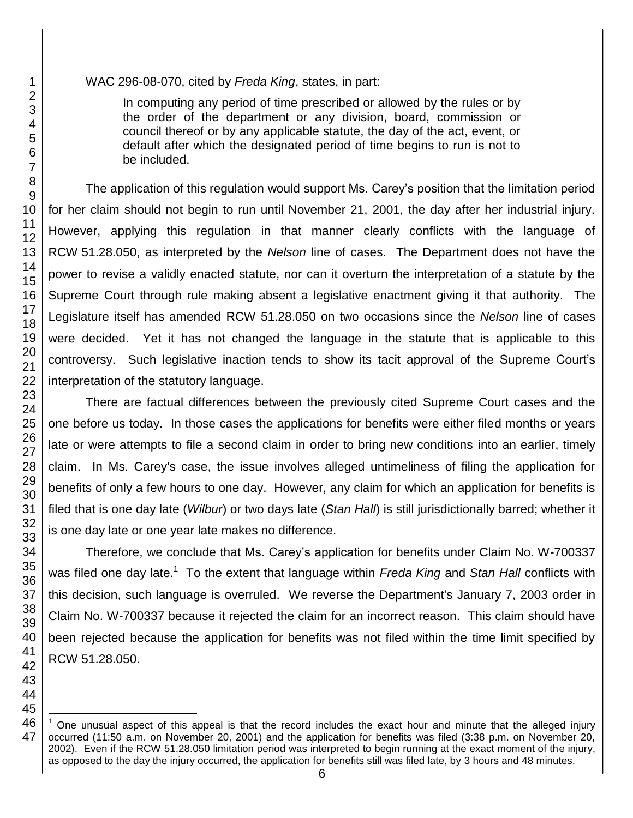#### WAC 296-08-070, cited by *Freda King*, states, in part:

In computing any period of time prescribed or allowed by the rules or by the order of the department or any division, board, commission or council thereof or by any applicable statute, the day of the act, event, or default after which the designated period of time begins to run is not to be included.

The application of this regulation would support Ms. Carey's position that the limitation period for her claim should not begin to run until November 21, 2001, the day after her industrial injury. However, applying this regulation in that manner clearly conflicts with the language of RCW 51.28.050, as interpreted by the *Nelson* line of cases. The Department does not have the power to revise a validly enacted statute, nor can it overturn the interpretation of a statute by the Supreme Court through rule making absent a legislative enactment giving it that authority. The Legislature itself has amended RCW 51.28.050 on two occasions since the *Nelson* line of cases were decided. Yet it has not changed the language in the statute that is applicable to this controversy. Such legislative inaction tends to show its tacit approval of the Supreme Court's interpretation of the statutory language.

There are factual differences between the previously cited Supreme Court cases and the one before us today. In those cases the applications for benefits were either filed months or years late or were attempts to file a second claim in order to bring new conditions into an earlier, timely claim. In Ms. Carey's case, the issue involves alleged untimeliness of filing the application for benefits of only a few hours to one day. However, any claim for which an application for benefits is filed that is one day late (*Wilbur*) or two days late (*Stan Hall*) is still jurisdictionally barred; whether it is one day late or one year late makes no difference.

Therefore, we conclude that Ms. Carey's application for benefits under Claim No. W-700337 was filed one day late.<sup>1</sup> To the extent that language within *Freda King* and Stan Hall conflicts with this decision, such language is overruled. We reverse the Department's January 7, 2003 order in Claim No. W-700337 because it rejected the claim for an incorrect reason. This claim should have been rejected because the application for benefits was not filed within the time limit specified by RCW 51.28.050.

<sup>1</sup> One unusual aspect of this appeal is that the record includes the exact hour and minute that the alleged injury occurred (11:50 a.m. on November 20, 2001) and the application for benefits was filed (3:38 p.m. on November 20, 2002). Even if the RCW 51.28.050 limitation period was interpreted to begin running at the exact moment of the injury, as opposed to the day the injury occurred, the application for benefits still was filed late, by 3 hours and 48 minutes.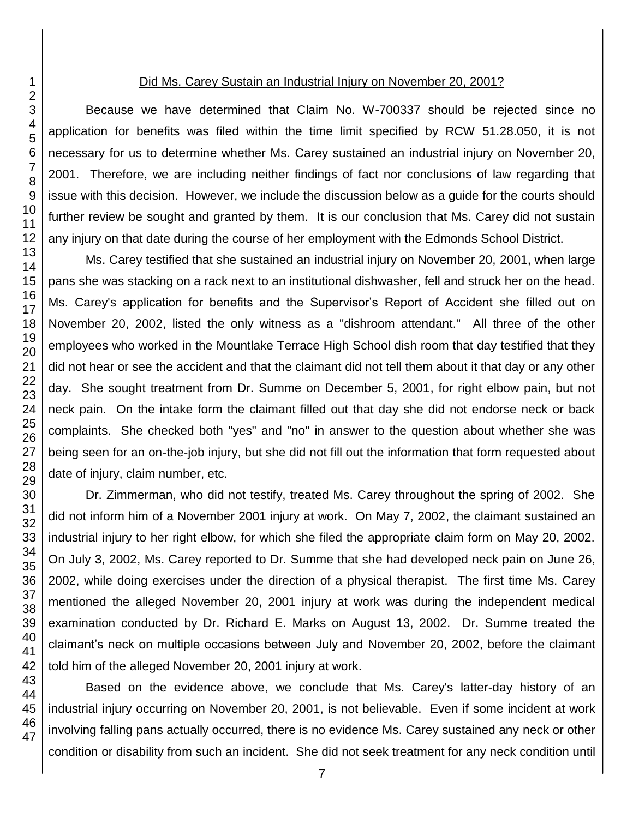### Did Ms. Carey Sustain an Industrial Injury on November 20, 2001?

Because we have determined that Claim No. W-700337 should be rejected since no application for benefits was filed within the time limit specified by RCW 51.28.050, it is not necessary for us to determine whether Ms. Carey sustained an industrial injury on November 20, 2001. Therefore, we are including neither findings of fact nor conclusions of law regarding that issue with this decision. However, we include the discussion below as a guide for the courts should further review be sought and granted by them. It is our conclusion that Ms. Carey did not sustain any injury on that date during the course of her employment with the Edmonds School District.

Ms. Carey testified that she sustained an industrial injury on November 20, 2001, when large pans she was stacking on a rack next to an institutional dishwasher, fell and struck her on the head. Ms. Carey's application for benefits and the Supervisor's Report of Accident she filled out on November 20, 2002, listed the only witness as a "dishroom attendant." All three of the other employees who worked in the Mountlake Terrace High School dish room that day testified that they did not hear or see the accident and that the claimant did not tell them about it that day or any other day. She sought treatment from Dr. Summe on December 5, 2001, for right elbow pain, but not neck pain. On the intake form the claimant filled out that day she did not endorse neck or back complaints. She checked both "yes" and "no" in answer to the question about whether she was being seen for an on-the-job injury, but she did not fill out the information that form requested about date of injury, claim number, etc.

Dr. Zimmerman, who did not testify, treated Ms. Carey throughout the spring of 2002. She did not inform him of a November 2001 injury at work. On May 7, 2002, the claimant sustained an industrial injury to her right elbow, for which she filed the appropriate claim form on May 20, 2002. On July 3, 2002, Ms. Carey reported to Dr. Summe that she had developed neck pain on June 26, 2002, while doing exercises under the direction of a physical therapist. The first time Ms. Carey mentioned the alleged November 20, 2001 injury at work was during the independent medical examination conducted by Dr. Richard E. Marks on August 13, 2002. Dr. Summe treated the claimant's neck on multiple occasions between July and November 20, 2002, before the claimant told him of the alleged November 20, 2001 injury at work.

Based on the evidence above, we conclude that Ms. Carey's latter-day history of an industrial injury occurring on November 20, 2001, is not believable. Even if some incident at work involving falling pans actually occurred, there is no evidence Ms. Carey sustained any neck or other condition or disability from such an incident. She did not seek treatment for any neck condition until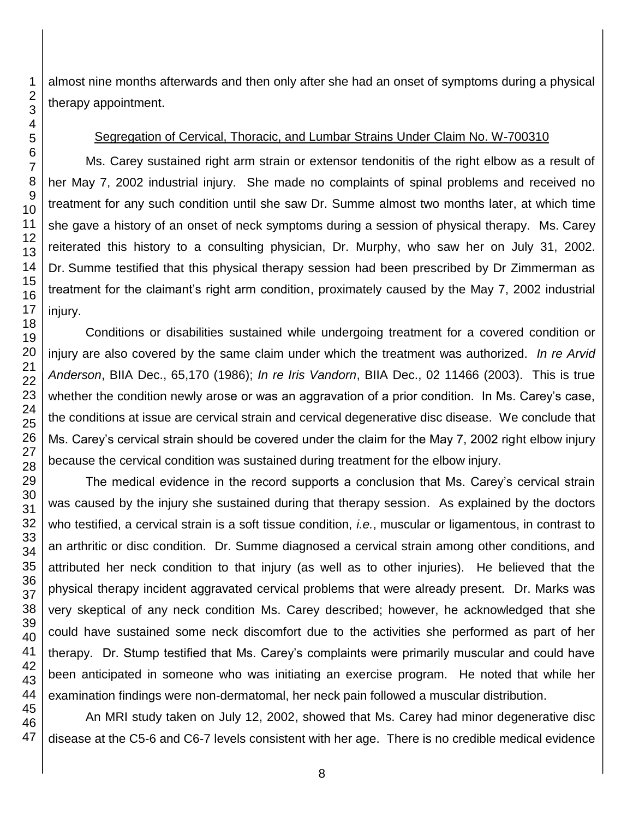almost nine months afterwards and then only after she had an onset of symptoms during a physical therapy appointment.

## Segregation of Cervical, Thoracic, and Lumbar Strains Under Claim No. W-700310

Ms. Carey sustained right arm strain or extensor tendonitis of the right elbow as a result of her May 7, 2002 industrial injury. She made no complaints of spinal problems and received no treatment for any such condition until she saw Dr. Summe almost two months later, at which time she gave a history of an onset of neck symptoms during a session of physical therapy. Ms. Carey reiterated this history to a consulting physician, Dr. Murphy, who saw her on July 31, 2002. Dr. Summe testified that this physical therapy session had been prescribed by Dr Zimmerman as treatment for the claimant's right arm condition, proximately caused by the May 7, 2002 industrial injury.

Conditions or disabilities sustained while undergoing treatment for a covered condition or injury are also covered by the same claim under which the treatment was authorized. *In re Arvid Anderson*, BIIA Dec., 65,170 (1986); *In re Iris Vandorn*, BIIA Dec., 02 11466 (2003). This is true whether the condition newly arose or was an aggravation of a prior condition. In Ms. Carey's case, the conditions at issue are cervical strain and cervical degenerative disc disease. We conclude that Ms. Carey's cervical strain should be covered under the claim for the May 7, 2002 right elbow injury because the cervical condition was sustained during treatment for the elbow injury.

The medical evidence in the record supports a conclusion that Ms. Carey's cervical strain was caused by the injury she sustained during that therapy session. As explained by the doctors who testified, a cervical strain is a soft tissue condition, *i.e.*, muscular or ligamentous, in contrast to an arthritic or disc condition. Dr. Summe diagnosed a cervical strain among other conditions, and attributed her neck condition to that injury (as well as to other injuries). He believed that the physical therapy incident aggravated cervical problems that were already present. Dr. Marks was very skeptical of any neck condition Ms. Carey described; however, he acknowledged that she could have sustained some neck discomfort due to the activities she performed as part of her therapy. Dr. Stump testified that Ms. Carey's complaints were primarily muscular and could have been anticipated in someone who was initiating an exercise program. He noted that while her examination findings were non-dermatomal, her neck pain followed a muscular distribution.

An MRI study taken on July 12, 2002, showed that Ms. Carey had minor degenerative disc disease at the C5-6 and C6-7 levels consistent with her age. There is no credible medical evidence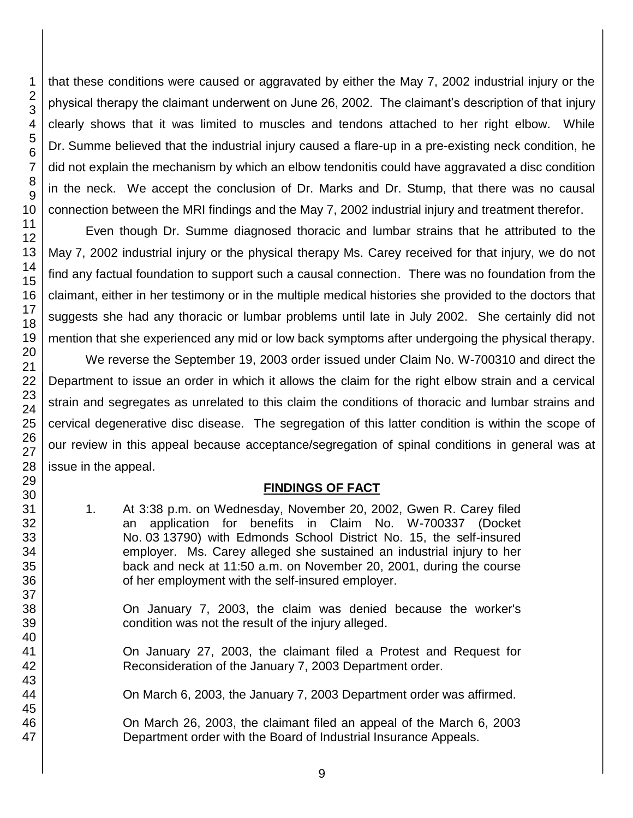that these conditions were caused or aggravated by either the May 7, 2002 industrial injury or the physical therapy the claimant underwent on June 26, 2002. The claimant's description of that injury clearly shows that it was limited to muscles and tendons attached to her right elbow. While Dr. Summe believed that the industrial injury caused a flare-up in a pre-existing neck condition, he did not explain the mechanism by which an elbow tendonitis could have aggravated a disc condition in the neck. We accept the conclusion of Dr. Marks and Dr. Stump, that there was no causal connection between the MRI findings and the May 7, 2002 industrial injury and treatment therefor.

Even though Dr. Summe diagnosed thoracic and lumbar strains that he attributed to the May 7, 2002 industrial injury or the physical therapy Ms. Carey received for that injury, we do not find any factual foundation to support such a causal connection. There was no foundation from the claimant, either in her testimony or in the multiple medical histories she provided to the doctors that suggests she had any thoracic or lumbar problems until late in July 2002. She certainly did not mention that she experienced any mid or low back symptoms after undergoing the physical therapy.

We reverse the September 19, 2003 order issued under Claim No. W-700310 and direct the Department to issue an order in which it allows the claim for the right elbow strain and a cervical strain and segregates as unrelated to this claim the conditions of thoracic and lumbar strains and cervical degenerative disc disease. The segregation of this latter condition is within the scope of our review in this appeal because acceptance/segregation of spinal conditions in general was at issue in the appeal.

# **FINDINGS OF FACT**

1. At 3:38 p.m. on Wednesday, November 20, 2002, Gwen R. Carey filed an application for benefits in Claim No. W-700337 (Docket No. 03 13790) with Edmonds School District No. 15, the self-insured employer. Ms. Carey alleged she sustained an industrial injury to her back and neck at 11:50 a.m. on November 20, 2001, during the course of her employment with the self-insured employer.

On January 7, 2003, the claim was denied because the worker's condition was not the result of the injury alleged.

On January 27, 2003, the claimant filed a Protest and Request for Reconsideration of the January 7, 2003 Department order.

On March 6, 2003, the January 7, 2003 Department order was affirmed.

On March 26, 2003, the claimant filed an appeal of the March 6, 2003 Department order with the Board of Industrial Insurance Appeals.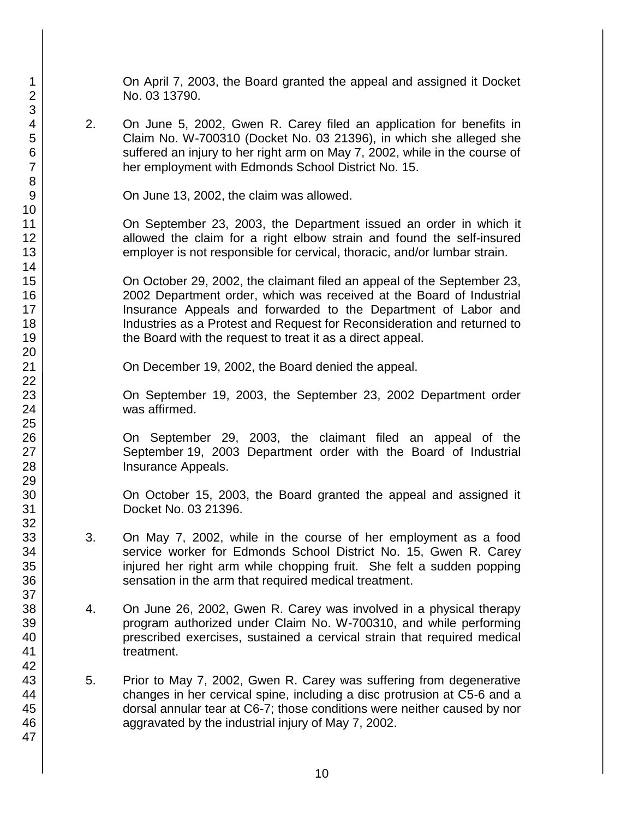On April 7, 2003, the Board granted the appeal and assigned it Docket No. 03 13790.

2. On June 5, 2002, Gwen R. Carey filed an application for benefits in Claim No. W-700310 (Docket No. 03 21396), in which she alleged she suffered an injury to her right arm on May 7, 2002, while in the course of her employment with Edmonds School District No. 15.

On June 13, 2002, the claim was allowed.

On September 23, 2003, the Department issued an order in which it allowed the claim for a right elbow strain and found the self-insured employer is not responsible for cervical, thoracic, and/or lumbar strain.

On October 29, 2002, the claimant filed an appeal of the September 23, 2002 Department order, which was received at the Board of Industrial Insurance Appeals and forwarded to the Department of Labor and Industries as a Protest and Request for Reconsideration and returned to the Board with the request to treat it as a direct appeal.

On December 19, 2002, the Board denied the appeal.

On September 19, 2003, the September 23, 2002 Department order was affirmed.

On September 29, 2003, the claimant filed an appeal of the September 19, 2003 Department order with the Board of Industrial Insurance Appeals.

On October 15, 2003, the Board granted the appeal and assigned it Docket No. 03 21396.

- 3. On May 7, 2002, while in the course of her employment as a food service worker for Edmonds School District No. 15, Gwen R. Carey injured her right arm while chopping fruit. She felt a sudden popping sensation in the arm that required medical treatment.
- 4. On June 26, 2002, Gwen R. Carey was involved in a physical therapy program authorized under Claim No. W-700310, and while performing prescribed exercises, sustained a cervical strain that required medical treatment.
- 5. Prior to May 7, 2002, Gwen R. Carey was suffering from degenerative changes in her cervical spine, including a disc protrusion at C5-6 and a dorsal annular tear at C6-7; those conditions were neither caused by nor aggravated by the industrial injury of May 7, 2002.